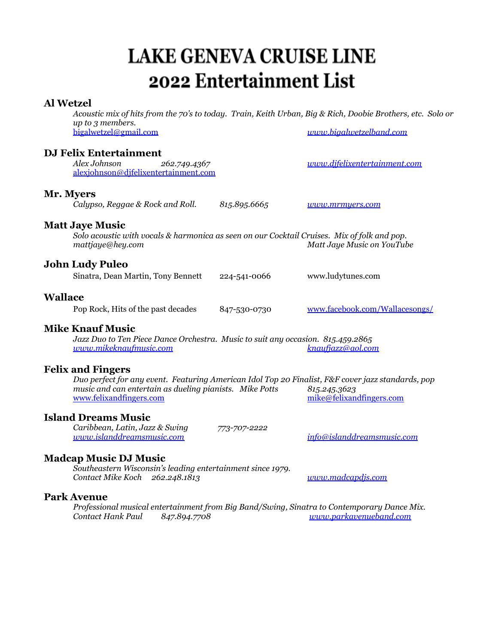# **LAKE GENEVA CRUISE LINE** 2022 Entertainment List

### **Al Wetzel**

Acoustic mix of hits from the 70's to today. Train, Keith Urban, Big & Rich, Doobie Brothers, etc. Solo or *up to 3 members.* [bigalwetzel@gmail.com](mailto:bigalwetzel@gmail.com) *[www.bigalwetzelband.com](http://www.bigalwetzelband.com)*

### **DJ Felix Entertainment**

*Alex Johnson 262.749.4367 [www.djfelixentertainment.com](http://www.djfelixentertainment.com)* [alexjohnson@djfelixentertainment.com](mailto:alexjohnson@djfelixentertainment.com)

### **Mr. Myers**

*Calypso, Reggae & Rock and Roll. 815.895.6665 [www.mrmyers.com](http://www.mrmyers.com)*

### **Matt Jaye Music**

*Solo acoustic with vocals & harmonica as seen on our Cocktail Cruises. Mix of folk and pop. mattjaye@hey.com Matt Jaye Music on YouTube*

### **John Ludy Puleo**

Sinatra, Dean Martin, Tony Bennett 224-541-0066 www.ludytunes.com

### **Wallace**

Pop Rock, Hits of the past decades 847-530-0730 [www.facebook.com/Wallacesongs/](http://www.facebook.com/Wallacesongs/)

### **Mike Knauf Music**

*Jazz Duo to Ten Piece Dance Orchestra. Music to suit any occasion. 815.459.2865 [www.mikeknaufmusic.com](http://www.mikeknaufmusic.com) [knaufjazz@aol.com](mailto:knaufjazz@aol.com)*

### **Felix and Fingers**

*Duo perfect for any event. Featuring American Idol Top 20 Finalist, F&F cover jazz standards, pop music and can entertain as dueling pianists. Mike Potts 815.245.3623*  $mike@felixand fingers.com$ 

### **Island Dreams Music**

*Caribbean, Latin, Jazz & Swing 773-707-2222 [www.islanddreamsmusic.com](http://www.islanddreamsmusic.com) [info@islanddreamsmusic.com](mailto:info@islanddreamsmusic.com)*

## **Madcap Music DJ Music**

*Southeastern Wisconsin's leading entertainment since 1979. Contact Mike Koch 262.248.1813 [www.madcapdjs.com](http://www.madcapdjs.com)*

### **Park Avenue**

*Professional musical entertainment from Big Band/Swing, Sinatra to Contemporary Dance Mix. Contact Hank Paul 847.894.7708 [www.parkavenueband.com](http://www.parkavenueband.com)*